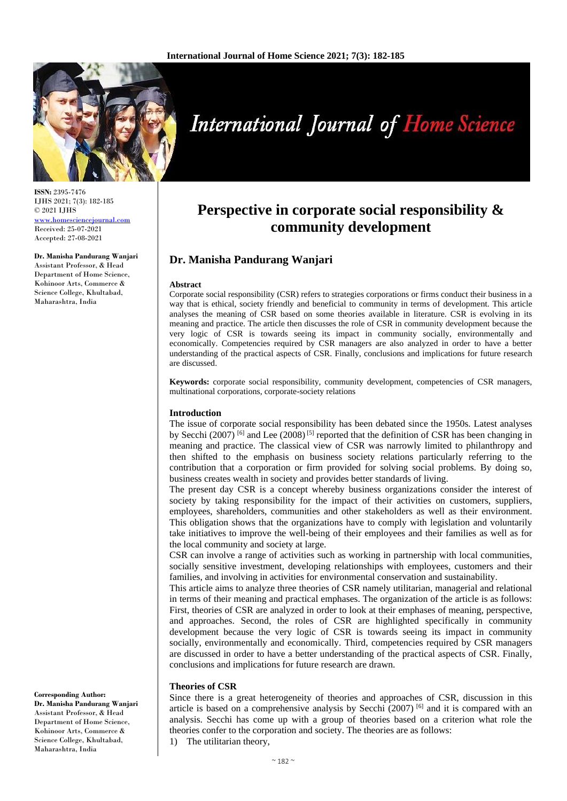

**ISSN:** 2395-7476 IJHS 2021; 7(3): 182-185 © 2021 IJHS <www.homesciencejournal.com> Received: 25-07-2021 Accepted: 27-08-2021

#### **Dr. Manisha Pandurang Wanjari**

Assistant Professor, & Head Department of Home Science, Kohinoor Arts, Commerce & Science College, Khultabad, Maharashtra, India

# **International Journal of Home Science**

# **Perspective in corporate social responsibility & community development**

# **Dr. Manisha Pandurang Wanjari**

#### **Abstract**

Corporate social responsibility (CSR) refers to strategies corporations or firms conduct their business in a way that is ethical, society friendly and beneficial to community in terms of development. This article analyses the meaning of CSR based on some theories available in literature. CSR is evolving in its meaning and practice. The article then discusses the role of CSR in community development because the very logic of CSR is towards seeing its impact in community socially, environmentally and economically. Competencies required by CSR managers are also analyzed in order to have a better understanding of the practical aspects of CSR. Finally, conclusions and implications for future research are discussed.

**Keywords:** corporate social responsibility, community development, competencies of CSR managers, multinational corporations, corporate-society relations

#### **Introduction**

The issue of corporate social responsibility has been debated since the 1950s. Latest analyses by Secchi (2007) <sup>[6]</sup> and Lee (2008)<sup>[5]</sup> reported that the definition of CSR has been changing in meaning and practice. The classical view of CSR was narrowly limited to philanthropy and then shifted to the emphasis on business society relations particularly referring to the contribution that a corporation or firm provided for solving social problems. By doing so, business creates wealth in society and provides better standards of living.

The present day CSR is a concept whereby business organizations consider the interest of society by taking responsibility for the impact of their activities on customers, suppliers, employees, shareholders, communities and other stakeholders as well as their environment. This obligation shows that the organizations have to comply with legislation and voluntarily take initiatives to improve the well-being of their employees and their families as well as for the local community and society at large.

CSR can involve a range of activities such as working in partnership with local communities, socially sensitive investment, developing relationships with employees, customers and their families, and involving in activities for environmental conservation and sustainability.

This article aims to analyze three theories of CSR namely utilitarian, managerial and relational in terms of their meaning and practical emphases. The organization of the article is as follows: First, theories of CSR are analyzed in order to look at their emphases of meaning, perspective, and approaches. Second, the roles of CSR are highlighted specifically in community development because the very logic of CSR is towards seeing its impact in community socially, environmentally and economically. Third, competencies required by CSR managers are discussed in order to have a better understanding of the practical aspects of CSR. Finally, conclusions and implications for future research are drawn.

#### **Theories of CSR**

Since there is a great heterogeneity of theories and approaches of CSR, discussion in this article is based on a comprehensive analysis by Secchi (2007) [6] and it is compared with an analysis. Secchi has come up with a group of theories based on a criterion what role the theories confer to the corporation and society. The theories are as follows:

1) The utilitarian theory,

**Corresponding Author:**

**Dr. Manisha Pandurang Wanjari** Assistant Professor, & Head Department of Home Science, Kohinoor Arts, Commerce & Science College, Khultabad, Maharashtra, India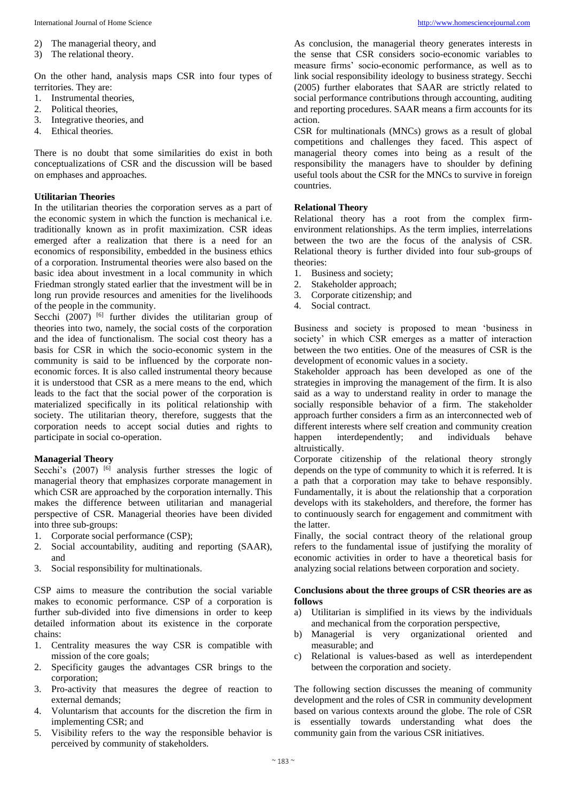- 2) The managerial theory, and
- 3) The relational theory.

On the other hand, analysis maps CSR into four types of territories. They are:

- 1. Instrumental theories,
- 2. Political theories,
- 3. Integrative theories, and
- 4. Ethical theories.

There is no doubt that some similarities do exist in both conceptualizations of CSR and the discussion will be based on emphases and approaches.

# **Utilitarian Theories**

In the utilitarian theories the corporation serves as a part of the economic system in which the function is mechanical i.e. traditionally known as in profit maximization. CSR ideas emerged after a realization that there is a need for an economics of responsibility, embedded in the business ethics of a corporation. Instrumental theories were also based on the basic idea about investment in a local community in which Friedman strongly stated earlier that the investment will be in long run provide resources and amenities for the livelihoods of the people in the community.

Secchi  $(2007)$ <sup>[6]</sup> further divides the utilitarian group of theories into two, namely, the social costs of the corporation and the idea of functionalism. The social cost theory has a basis for CSR in which the socio-economic system in the community is said to be influenced by the corporate noneconomic forces. It is also called instrumental theory because it is understood that CSR as a mere means to the end, which leads to the fact that the social power of the corporation is materialized specifically in its political relationship with society. The utilitarian theory, therefore, suggests that the corporation needs to accept social duties and rights to participate in social co-operation.

### **Managerial Theory**

Secchi's (2007) <sup>[6]</sup> analysis further stresses the logic of managerial theory that emphasizes corporate management in which CSR are approached by the corporation internally. This makes the difference between utilitarian and managerial perspective of CSR. Managerial theories have been divided into three sub-groups:

- 1. Corporate social performance (CSP);
- 2. Social accountability, auditing and reporting (SAAR), and
- 3. Social responsibility for multinationals.

CSP aims to measure the contribution the social variable makes to economic performance. CSP of a corporation is further sub-divided into five dimensions in order to keep detailed information about its existence in the corporate chains:

- 1. Centrality measures the way CSR is compatible with mission of the core goals;
- 2. Specificity gauges the advantages CSR brings to the corporation;
- 3. Pro-activity that measures the degree of reaction to external demands;
- 4. Voluntarism that accounts for the discretion the firm in implementing CSR; and
- 5. Visibility refers to the way the responsible behavior is perceived by community of stakeholders.

As conclusion, the managerial theory generates interests in the sense that CSR considers socio-economic variables to measure firms' socio-economic performance, as well as to link social responsibility ideology to business strategy. Secchi (2005) further elaborates that SAAR are strictly related to social performance contributions through accounting, auditing and reporting procedures. SAAR means a firm accounts for its action.

CSR for multinationals (MNCs) grows as a result of global competitions and challenges they faced. This aspect of managerial theory comes into being as a result of the responsibility the managers have to shoulder by defining useful tools about the CSR for the MNCs to survive in foreign countries.

#### **Relational Theory**

Relational theory has a root from the complex firmenvironment relationships. As the term implies, interrelations between the two are the focus of the analysis of CSR. Relational theory is further divided into four sub-groups of theories:

- 1. Business and society;
- 2. Stakeholder approach;
- 3. Corporate citizenship; and
- 4. Social contract.

Business and society is proposed to mean 'business in society' in which CSR emerges as a matter of interaction between the two entities. One of the measures of CSR is the development of economic values in a society.

Stakeholder approach has been developed as one of the strategies in improving the management of the firm. It is also said as a way to understand reality in order to manage the socially responsible behavior of a firm. The stakeholder approach further considers a firm as an interconnected web of different interests where self creation and community creation happen interdependently; and individuals behave altruistically.

Corporate citizenship of the relational theory strongly depends on the type of community to which it is referred. It is a path that a corporation may take to behave responsibly. Fundamentally, it is about the relationship that a corporation develops with its stakeholders, and therefore, the former has to continuously search for engagement and commitment with the latter.

Finally, the social contract theory of the relational group refers to the fundamental issue of justifying the morality of economic activities in order to have a theoretical basis for analyzing social relations between corporation and society.

# **Conclusions about the three groups of CSR theories are as follows**

- a) Utilitarian is simplified in its views by the individuals and mechanical from the corporation perspective,
- b) Managerial is very organizational oriented and measurable; and
- c) Relational is values-based as well as interdependent between the corporation and society.

The following section discusses the meaning of community development and the roles of CSR in community development based on various contexts around the globe. The role of CSR is essentially towards understanding what does the community gain from the various CSR initiatives.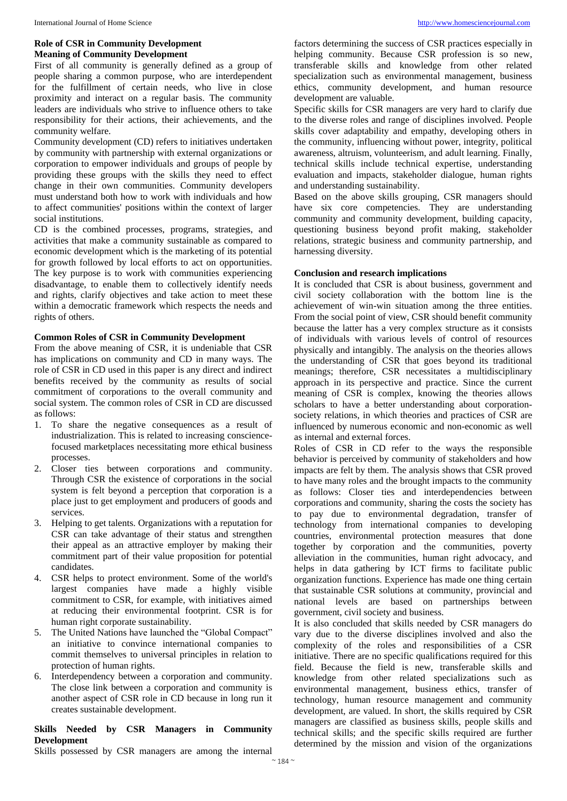# **Role of CSR in Community Development Meaning of Community Development**

First of all community is generally defined as a group of people sharing a common purpose, who are interdependent for the fulfillment of certain needs, who live in close proximity and interact on a regular basis. The community leaders are individuals who strive to influence others to take responsibility for their actions, their achievements, and the community welfare.

Community development (CD) refers to initiatives undertaken by community with partnership with external organizations or corporation to empower individuals and groups of people by providing these groups with the skills they need to effect change in their own communities. Community developers must understand both how to work with individuals and how to affect communities' positions within the context of larger social institutions.

CD is the combined processes, programs, strategies, and activities that make a community sustainable as compared to economic development which is the marketing of its potential for growth followed by local efforts to act on opportunities. The key purpose is to work with communities experiencing disadvantage, to enable them to collectively identify needs and rights, clarify objectives and take action to meet these within a democratic framework which respects the needs and rights of others.

# **Common Roles of CSR in Community Development**

From the above meaning of CSR, it is undeniable that CSR has implications on community and CD in many ways. The role of CSR in CD used in this paper is any direct and indirect benefits received by the community as results of social commitment of corporations to the overall community and social system. The common roles of CSR in CD are discussed as follows:

- 1. To share the negative consequences as a result of industrialization. This is related to increasing consciencefocused marketplaces necessitating more ethical business processes.
- 2. Closer ties between corporations and community. Through CSR the existence of corporations in the social system is felt beyond a perception that corporation is a place just to get employment and producers of goods and services.
- 3. Helping to get talents. Organizations with a reputation for CSR can take advantage of their status and strengthen their appeal as an attractive employer by making their commitment part of their value proposition for potential candidates.
- 4. CSR helps to protect environment. Some of the world's largest companies have made a highly visible commitment to CSR, for example, with initiatives aimed at reducing their environmental footprint. CSR is for human right corporate sustainability.
- 5. The United Nations have launched the "Global Compact" an initiative to convince international companies to commit themselves to universal principles in relation to protection of human rights.
- 6. Interdependency between a corporation and community. The close link between a corporation and community is another aspect of CSR role in CD because in long run it creates sustainable development.

# **Skills Needed by CSR Managers in Community Development**

factors determining the success of CSR practices especially in helping community. Because CSR profession is so new, transferable skills and knowledge from other related specialization such as environmental management, business ethics, community development, and human resource development are valuable.

Specific skills for CSR managers are very hard to clarify due to the diverse roles and range of disciplines involved. People skills cover adaptability and empathy, developing others in the community, influencing without power, integrity, political awareness, altruism, volunteerism, and adult learning. Finally, technical skills include technical expertise, understanding evaluation and impacts, stakeholder dialogue, human rights and understanding sustainability.

Based on the above skills grouping, CSR managers should have six core competencies. They are understanding community and community development, building capacity, questioning business beyond profit making, stakeholder relations, strategic business and community partnership, and harnessing diversity.

# **Conclusion and research implications**

It is concluded that CSR is about business, government and civil society collaboration with the bottom line is the achievement of win-win situation among the three entities. From the social point of view, CSR should benefit community because the latter has a very complex structure as it consists of individuals with various levels of control of resources physically and intangibly. The analysis on the theories allows the understanding of CSR that goes beyond its traditional meanings; therefore, CSR necessitates a multidisciplinary approach in its perspective and practice. Since the current meaning of CSR is complex, knowing the theories allows scholars to have a better understanding about corporationsociety relations, in which theories and practices of CSR are influenced by numerous economic and non-economic as well as internal and external forces.

Roles of CSR in CD refer to the ways the responsible behavior is perceived by community of stakeholders and how impacts are felt by them. The analysis shows that CSR proved to have many roles and the brought impacts to the community as follows: Closer ties and interdependencies between corporations and community, sharing the costs the society has to pay due to environmental degradation, transfer of technology from international companies to developing countries, environmental protection measures that done together by corporation and the communities, poverty alleviation in the communities, human right advocacy, and helps in data gathering by ICT firms to facilitate public organization functions. Experience has made one thing certain that sustainable CSR solutions at community, provincial and national levels are based on partnerships between government, civil society and business.

It is also concluded that skills needed by CSR managers do vary due to the diverse disciplines involved and also the complexity of the roles and responsibilities of a CSR initiative. There are no specific qualifications required for this field. Because the field is new, transferable skills and knowledge from other related specializations such as environmental management, business ethics, transfer of technology, human resource management and community development, are valued. In short, the skills required by CSR managers are classified as business skills, people skills and technical skills; and the specific skills required are further determined by the mission and vision of the organizations

Skills possessed by CSR managers are among the internal